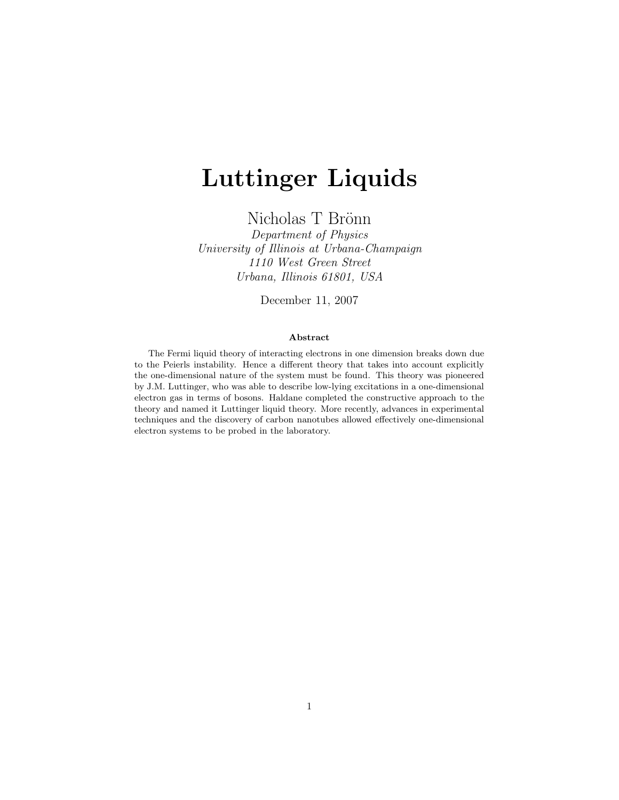# Luttinger Liquids

Nicholas T Brönn

Department of Physics University of Illinois at Urbana-Champaign 1110 West Green Street Urbana, Illinois 61801, USA

December 11, 2007

#### Abstract

The Fermi liquid theory of interacting electrons in one dimension breaks down due to the Peierls instability. Hence a different theory that takes into account explicitly the one-dimensional nature of the system must be found. This theory was pioneered by J.M. Luttinger, who was able to describe low-lying excitations in a one-dimensional electron gas in terms of bosons. Haldane completed the constructive approach to the theory and named it Luttinger liquid theory. More recently, advances in experimental techniques and the discovery of carbon nanotubes allowed effectively one-dimensional electron systems to be probed in the laboratory.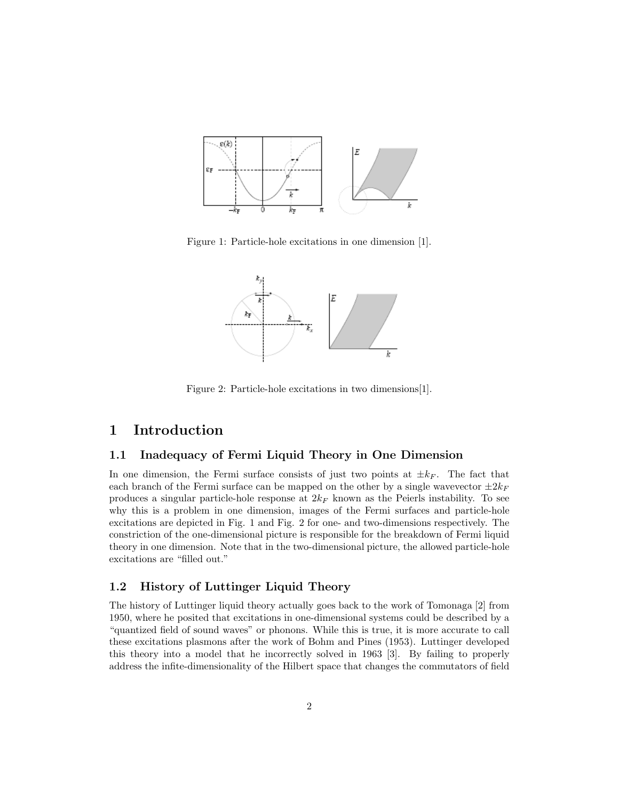

Figure 1: Particle-hole excitations in one dimension [1].



Figure 2: Particle-hole excitations in two dimensions[1].

# 1 Introduction

## 1.1 Inadequacy of Fermi Liquid Theory in One Dimension

In one dimension, the Fermi surface consists of just two points at  $\pm k_F$ . The fact that each branch of the Fermi surface can be mapped on the other by a single wavevector  $\pm 2k_F$ produces a singular particle-hole response at  $2k_F$  known as the Peierls instability. To see why this is a problem in one dimension, images of the Fermi surfaces and particle-hole excitations are depicted in Fig. 1 and Fig. 2 for one- and two-dimensions respectively. The constriction of the one-dimensional picture is responsible for the breakdown of Fermi liquid theory in one dimension. Note that in the two-dimensional picture, the allowed particle-hole excitations are "filled out."

## 1.2 History of Luttinger Liquid Theory

The history of Luttinger liquid theory actually goes back to the work of Tomonaga [2] from 1950, where he posited that excitations in one-dimensional systems could be described by a "quantized field of sound waves" or phonons. While this is true, it is more accurate to call these excitations plasmons after the work of Bohm and Pines (1953). Luttinger developed this theory into a model that he incorrectly solved in 1963 [3]. By failing to properly address the infite-dimensionality of the Hilbert space that changes the commutators of field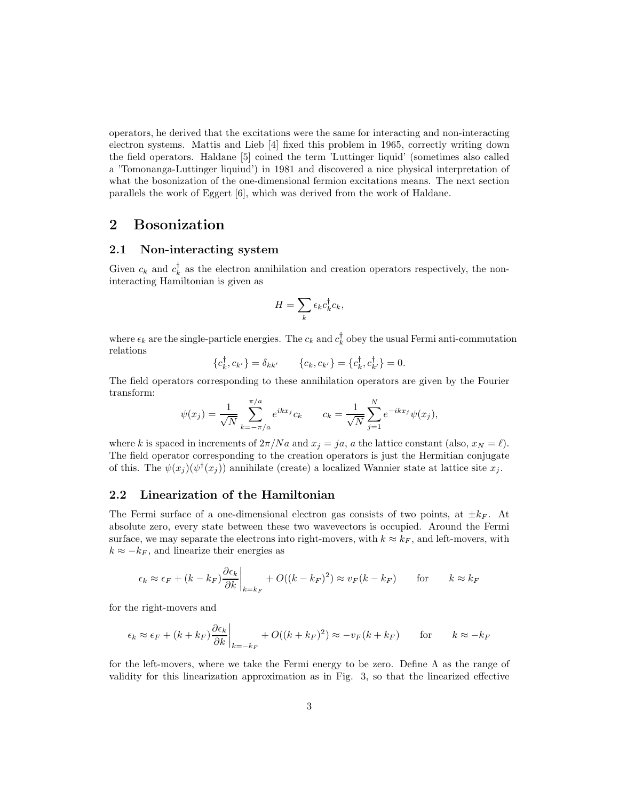operators, he derived that the excitations were the same for interacting and non-interacting electron systems. Mattis and Lieb [4] fixed this problem in 1965, correctly writing down the field operators. Haldane [5] coined the term 'Luttinger liquid' (sometimes also called a 'Tomonanga-Luttinger liquiud') in 1981 and discovered a nice physical interpretation of what the bosonization of the one-dimensional fermion excitations means. The next section parallels the work of Eggert [6], which was derived from the work of Haldane.

# 2 Bosonization

#### 2.1 Non-interacting system

Given  $c_k$  and  $c_k^{\dagger}$  as the electron annihilation and creation operators respectively, the noninteracting Hamiltonian is given as

$$
H = \sum_{k} \epsilon_k c_k^{\dagger} c_k,
$$

where  $\epsilon_k$  are the single-particle energies. The  $c_k$  and  $c_k^{\dagger}$  obey the usual Fermi anti-commutation relations

$$
\{c_k^{\dagger}, c_{k'}\} = \delta_{kk'} \qquad \{c_k, c_{k'}\} = \{c_k^{\dagger}, c_{k'}^{\dagger}\} = 0.
$$

The field operators corresponding to these annihilation operators are given by the Fourier transform:

$$
\psi(x_j) = \frac{1}{\sqrt{N}} \sum_{k=-\pi/a}^{\pi/a} e^{ikx_j} c_k \qquad c_k = \frac{1}{\sqrt{N}} \sum_{j=1}^N e^{-ikx_j} \psi(x_j),
$$

where k is spaced in increments of  $2\pi/Na$  and  $x_j = ja$ , a the lattice constant (also,  $x_N = \ell$ ). The field operator corresponding to the creation operators is just the Hermitian conjugate of this. The  $\psi(x_j)(\psi^{\dagger}(x_j))$  annihilate (create) a localized Wannier state at lattice site  $x_j$ .

## 2.2 Linearization of the Hamiltonian

The Fermi surface of a one-dimensional electron gas consists of two points, at  $\pm k_F$ . At absolute zero, every state between these two wavevectors is occupied. Around the Fermi surface, we may separate the electrons into right-movers, with  $k \approx k_F$ , and left-movers, with  $k \approx -k_F$ , and linearize their energies as

$$
\epsilon_k \approx \epsilon_F + (k - k_F) \frac{\partial \epsilon_k}{\partial k} \Big|_{k = k_F} + O((k - k_F)^2) \approx v_F(k - k_F)
$$
 for  $k \approx k_F$ 

for the right-movers and

$$
\epsilon_k \approx \epsilon_F + (k + k_F) \frac{\partial \epsilon_k}{\partial k} \bigg|_{k=-k_F} + O((k + k_F)^2) \approx -v_F(k + k_F)
$$
 for  $k \approx -k_F$ 

for the left-movers, where we take the Fermi energy to be zero. Define  $\Lambda$  as the range of validity for this linearization approximation as in Fig. 3, so that the linearized effective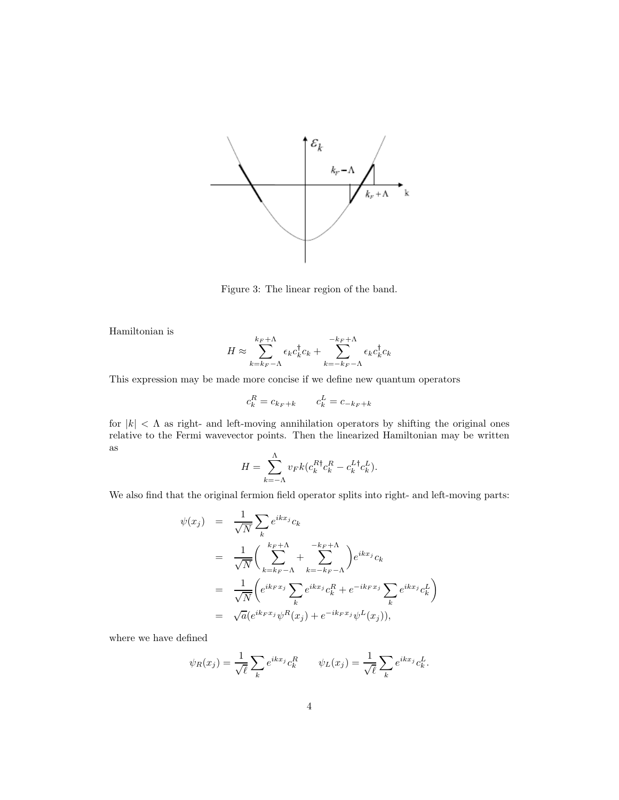

Figure 3: The linear region of the band.

Hamiltonian is

$$
H \approx \sum_{k=k_F-\Lambda}^{k_F+\Lambda} \epsilon_k c_k^{\dagger} c_k + \sum_{k=-k_F-\Lambda}^{-k_F+\Lambda} \epsilon_k c_k^{\dagger} c_k
$$

This expression may be made more concise if we define new quantum operators

$$
c_k^R = c_{k_F + k} \qquad c_k^L = c_{-k_F + k}
$$

for  $|k| < \Lambda$  as right- and left-moving annihilation operators by shifting the original ones relative to the Fermi wavevector points. Then the linearized Hamiltonian may be written as

$$
H = \sum_{k=-\Lambda}^{\Lambda} v_F k (c_k^{R\dagger} c_k^R - c_k^{L\dagger} c_k^L).
$$

We also find that the original fermion field operator splits into right- and left-moving parts:

$$
\psi(x_j) = \frac{1}{\sqrt{N}} \sum_{k} e^{ikx_j} c_k
$$
  
\n
$$
= \frac{1}{\sqrt{N}} \left( \sum_{k=k_F-\Lambda}^{k_F+\Lambda} + \sum_{k=-k_F-\Lambda}^{-k_F+\Lambda} \right) e^{ikx_j} c_k
$$
  
\n
$$
= \frac{1}{\sqrt{N}} \left( e^{ikFx_j} \sum_{k} e^{ikx_j} c_k^R + e^{-ikFx_j} \sum_{k} e^{ikx_j} c_k^L \right)
$$
  
\n
$$
= \sqrt{a} (e^{ikFx_j} \psi^R(x_j) + e^{-ikFx_j} \psi^L(x_j)),
$$

where we have defined

$$
\psi_R(x_j) = \frac{1}{\sqrt{\ell}} \sum_k e^{ikx_j} c_k^R \qquad \psi_L(x_j) = \frac{1}{\sqrt{\ell}} \sum_k e^{ikx_j} c_k^L.
$$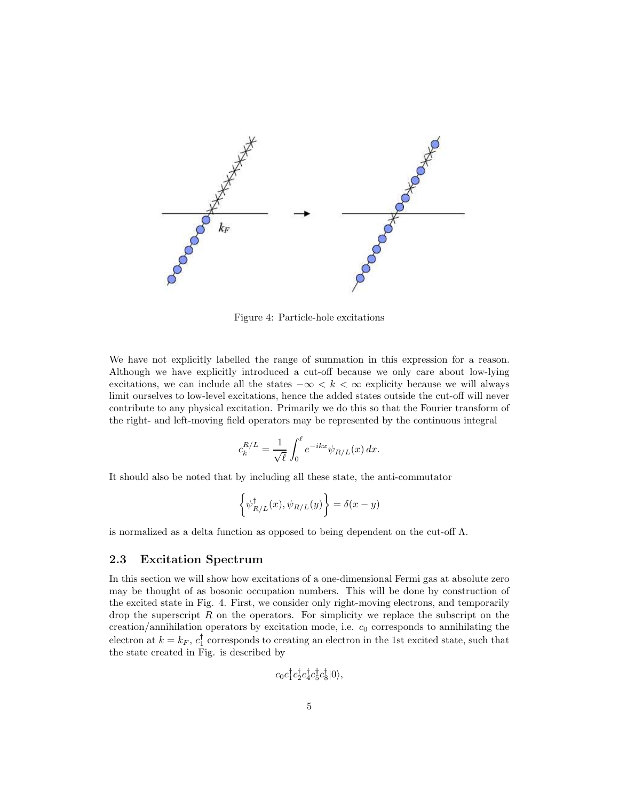

Figure 4: Particle-hole excitations

We have not explicitly labelled the range of summation in this expression for a reason. Although we have explicitly introduced a cut-off because we only care about low-lying excitations, we can include all the states  $-\infty < k < \infty$  explicity because we will always limit ourselves to low-level excitations, hence the added states outside the cut-off will never contribute to any physical excitation. Primarily we do this so that the Fourier transform of the right- and left-moving field operators may be represented by the continuous integral

$$
c_k^{R/L} = \frac{1}{\sqrt{\ell}} \int_0^{\ell} e^{-ikx} \psi_{R/L}(x) dx.
$$

It should also be noted that by including all these state, the anti-commutator

$$
\left\{\psi_{R/L}^{\dagger}(x),\psi_{R/L}(y)\right\}=\delta(x-y)
$$

is normalized as a delta function as opposed to being dependent on the cut-off  $\Lambda$ .

#### 2.3 Excitation Spectrum

In this section we will show how excitations of a one-dimensional Fermi gas at absolute zero may be thought of as bosonic occupation numbers. This will be done by construction of the excited state in Fig. 4. First, we consider only right-moving electrons, and temporarily drop the superscript  $R$  on the operators. For simplicity we replace the subscript on the creation/annihilation operators by excitation mode, i.e.  $c_0$  corresponds to annihilating the electron at  $k = k_F, c_1$  corresponds to creating an electron in the 1st excited state, such that the state created in Fig. is described by

$$
c_0c_1^{\dagger}c_2^{\dagger}c_4^{\dagger}c_5^{\dagger}c_8^{\dagger}|0\rangle,
$$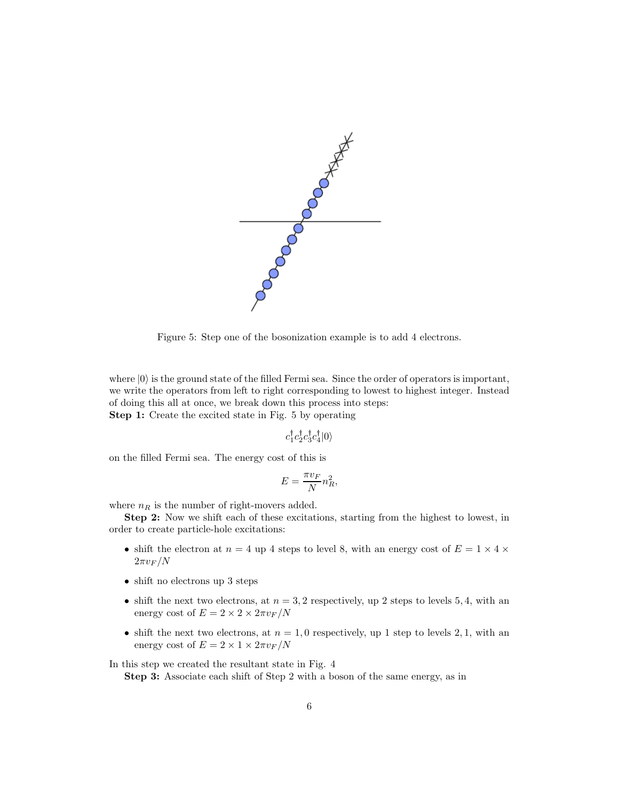

Figure 5: Step one of the bosonization example is to add 4 electrons.

where  $|0\rangle$  is the ground state of the filled Fermi sea. Since the order of operators is important, we write the operators from left to right corresponding to lowest to highest integer. Instead of doing this all at once, we break down this process into steps: Step 1: Create the excited state in Fig. 5 by operating

$$
c_1^\dagger c_2^\dagger c_3^\dagger c_4^\dagger |0\rangle
$$

on the filled Fermi sea. The energy cost of this is

$$
E=\frac{\pi v_F}{N}n_R^2,
$$

where  $n_R$  is the number of right-movers added.

Step 2: Now we shift each of these excitations, starting from the highest to lowest, in order to create particle-hole excitations:

- shift the electron at  $n = 4$  up 4 steps to level 8, with an energy cost of  $E = 1 \times 4 \times$  $2\pi v_F/N$
- shift no electrons up 3 steps
- shift the next two electrons, at  $n = 3, 2$  respectively, up 2 steps to levels 5, 4, with an energy cost of  $E = 2 \times 2 \times 2\pi v_F/N$
- shift the next two electrons, at  $n = 1, 0$  respectively, up 1 step to levels 2, 1, with an energy cost of  $E = 2 \times 1 \times 2\pi v_F/N$

In this step we created the resultant state in Fig. 4

Step 3: Associate each shift of Step 2 with a boson of the same energy, as in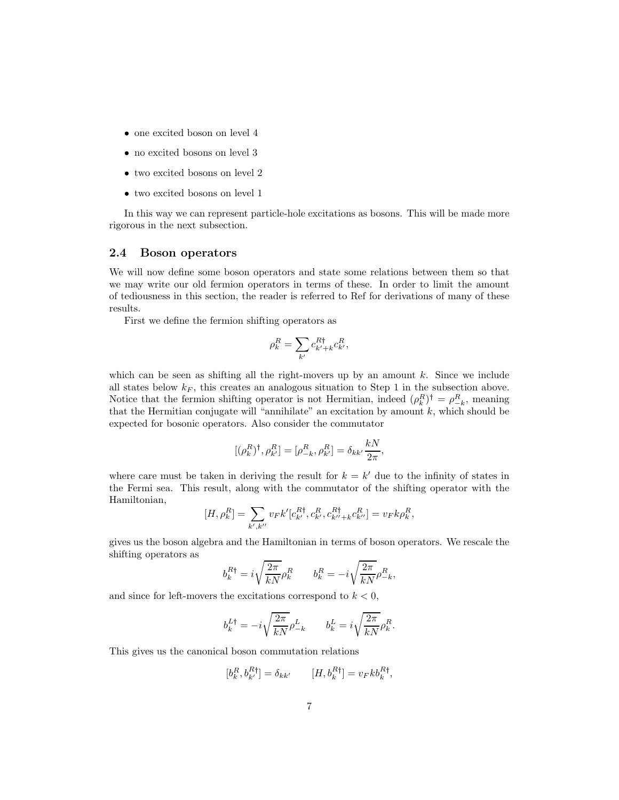- one excited boson on level 4
- no excited bosons on level 3
- two excited bosons on level 2
- two excited bosons on level 1

In this way we can represent particle-hole excitations as bosons. This will be made more rigorous in the next subsection.

#### 2.4 Boson operators

We will now define some boson operators and state some relations between them so that we may write our old fermion operators in terms of these. In order to limit the amount of tediousness in this section, the reader is referred to Ref for derivations of many of these results.

First we define the fermion shifting operators as

$$
\rho_k^R = \sum_{k'} c_{k'+k}^{R\dagger} c_{k'}^R,
$$

which can be seen as shifting all the right-movers up by an amount  $k$ . Since we include all states below  $k_F$ , this creates an analogous situation to Step 1 in the subsection above. Notice that the fermion shifting operator is not Hermitian, indeed  $(\rho_k^R)^{\dagger} = \rho_{-k}^R$ , meaning that the Hermitian conjugate will "annihilate" an excitation by amount  $k$ , which should be expected for bosonic operators. Also consider the commutator

$$
[(\rho_k^R)^{\dagger}, \rho_{k'}^R] = [\rho_{-k}^R, \rho_{k'}^R] = \delta_{kk'} \frac{kN}{2\pi},
$$

where care must be taken in deriving the result for  $k = k'$  due to the infinity of states in the Fermi sea. This result, along with the commutator of the shifting operator with the Hamiltonian,

$$
[H, \rho_k^R] = \sum_{k',k''} v_F k'[c_{k'}^{R\dagger}, c_{k'}^R, c_{k''+k}^{R\dagger} c_{k''}^R] = v_F k \rho_k^R,
$$

gives us the boson algebra and the Hamiltonian in terms of boson operators. We rescale the shifting operators as

$$
b_k^{R\dagger} = i\sqrt{\frac{2\pi}{kN}}\rho_k^R \qquad b_k^R = -i\sqrt{\frac{2\pi}{kN}}\rho_{-k}^R,
$$

and since for left-movers the excitations correspond to  $k < 0$ ,

$$
b^{L\dagger}_k = -i\sqrt{\frac{2\pi}{kN}}\rho^L_{-k} \qquad b^L_k = i\sqrt{\frac{2\pi}{kN}}\rho^R_k.
$$

This gives us the canonical boson commutation relations

$$
[b_k^R, b_{k'}^{R\dagger}] = \delta_{kk'} \qquad [H, b_k^{R\dagger}] = v_F k b_k^{R\dagger},
$$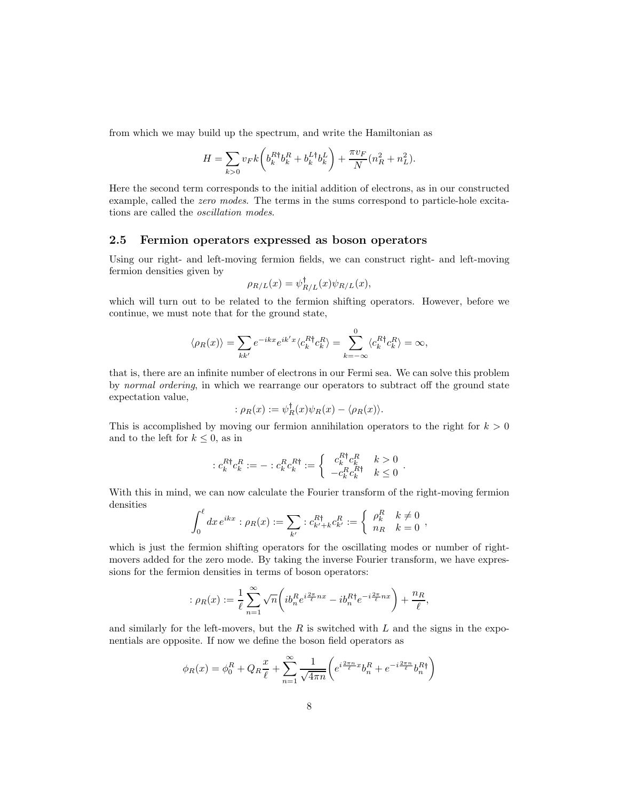from which we may build up the spectrum, and write the Hamiltonian as

$$
H = \sum_{k>0} v_F k \left( b_k^{R\dagger} b_k^R + b_k^{L\dagger} b_k^L \right) + \frac{\pi v_F}{N} (n_R^2 + n_L^2).
$$

Here the second term corresponds to the initial addition of electrons, as in our constructed example, called the zero modes. The terms in the sums correspond to particle-hole excitations are called the oscillation modes.

### 2.5 Fermion operators expressed as boson operators

Using our right- and left-moving fermion fields, we can construct right- and left-moving fermion densities given by

$$
\rho_{R/L}(x) = \psi_{R/L}^{\dagger}(x)\psi_{R/L}(x),
$$

which will turn out to be related to the fermion shifting operators. However, before we continue, we must note that for the ground state,

$$
\langle \rho_R(x) \rangle = \sum_{kk'} e^{-ikx} e^{ik'x} \langle c_k^{R\dagger} c_k^R \rangle = \sum_{k=-\infty}^0 \langle c_k^{R\dagger} c_k^R \rangle = \infty,
$$

that is, there are an infinite number of electrons in our Fermi sea. We can solve this problem by normal ordering, in which we rearrange our operators to subtract off the ground state expectation value,

$$
: \rho_R(x) := \psi_R^{\dagger}(x)\psi_R(x) - \langle \rho_R(x) \rangle.
$$

This is accomplished by moving our fermion annihilation operators to the right for  $k > 0$ and to the left for  $k \leq 0$ , as in

$$
:c_k^{R\dagger}c_k^R:=-:c_k^Rc_k^{R\dagger}:=\left\{\begin{array}{cc} c_k^{R\dagger}c_k^R & k>0\\ -c_k^Rc_k^{R\dagger} & k\leq 0 \end{array}\right..
$$

With this in mind, we can now calculate the Fourier transform of the right-moving fermion densities

$$
\int_0^{\ell} dx \, e^{ikx} : \rho_R(x) := \sum_{k'} : c_{k'+k}^{R\dagger} c_{k'}^{R} := \begin{cases} \rho_k^R & k \neq 0 \\ n_R & k = 0 \end{cases},
$$

which is just the fermion shifting operators for the oscillating modes or number of rightmovers added for the zero mode. By taking the inverse Fourier transform, we have expressions for the fermion densities in terms of boson operators:

$$
\therefore \rho_R(x) := \frac{1}{\ell} \sum_{n=1}^{\infty} \sqrt{n} \left( i b_n^R e^{i\frac{2\pi}{\ell}nx} - i b_n^{R\dagger} e^{-i\frac{2\pi}{\ell}nx} \right) + \frac{n_R}{\ell},
$$

and similarly for the left-movers, but the  $R$  is switched with  $L$  and the signs in the exponentials are opposite. If now we define the boson field operators as

$$
\phi_R(x) = \phi_0^R + Q_R \frac{x}{\ell} + \sum_{n=1}^{\infty} \frac{1}{\sqrt{4\pi n}} \left( e^{i\frac{2\pi n}{\ell}x} b_n^R + e^{-i\frac{2\pi n}{\ell}} b_n^{R\dagger} \right)
$$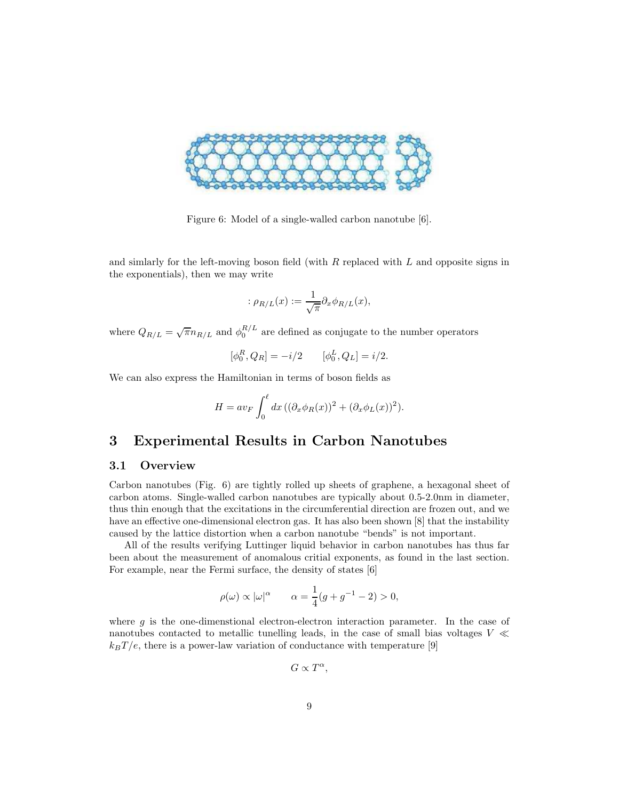

Figure 6: Model of a single-walled carbon nanotube [6].

and simlarly for the left-moving boson field (with  $R$  replaced with  $L$  and opposite signs in the exponentials), then we may write

$$
:\rho_{R/L}(x):=\frac{1}{\sqrt{\pi}}\partial_x\phi_{R/L}(x),
$$

where  $Q_{R/L} = \sqrt{\pi} n_{R/L}$  and  $\phi_0^{R/L}$  are defined as conjugate to the number operators

$$
[\phi_0^R, Q_R] = -i/2
$$
  $[\phi_0^L, Q_L] = i/2.$ 

We can also express the Hamiltonian in terms of boson fields as

$$
H = av_F \int_0^{\ell} dx \left( (\partial_x \phi_R(x))^2 + (\partial_x \phi_L(x))^2 \right).
$$

# 3 Experimental Results in Carbon Nanotubes

## 3.1 Overview

Carbon nanotubes (Fig. 6) are tightly rolled up sheets of graphene, a hexagonal sheet of carbon atoms. Single-walled carbon nanotubes are typically about 0.5-2.0nm in diameter, thus thin enough that the excitations in the circumferential direction are frozen out, and we have an effective one-dimensional electron gas. It has also been shown [8] that the instability caused by the lattice distortion when a carbon nanotube "bends" is not important.

All of the results verifying Luttinger liquid behavior in carbon nanotubes has thus far been about the measurement of anomalous critial exponents, as found in the last section. For example, near the Fermi surface, the density of states [6]

$$
\rho(\omega) \propto |\omega|^{\alpha}
$$
  $\alpha = \frac{1}{4}(g + g^{-1} - 2) > 0,$ 

where  $g$  is the one-dimenstional electron-electron interaction parameter. In the case of nanotubes contacted to metallic tunelling leads, in the case of small bias voltages  $V$   $\ll$  $k_BT/e$ , there is a power-law variation of conductance with temperature [9]

 $G \propto T^{\alpha}$ ,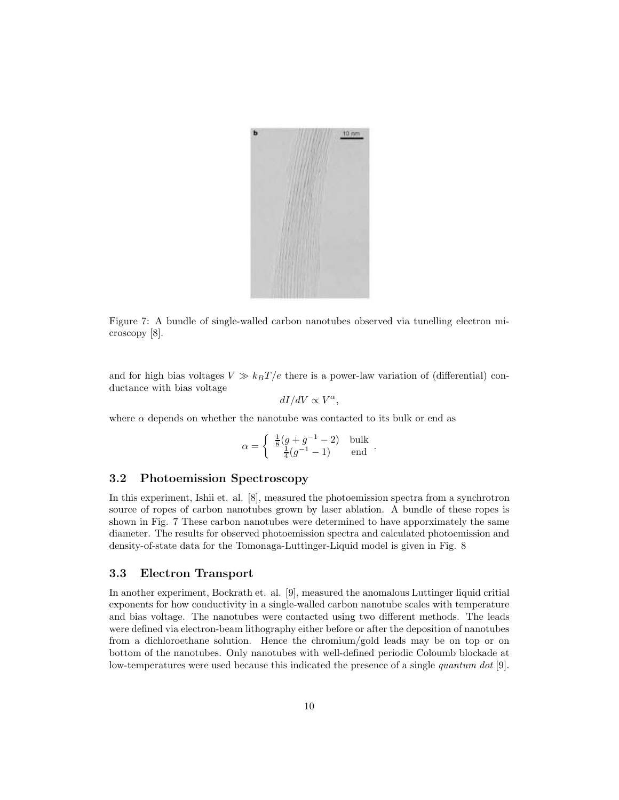

Figure 7: A bundle of single-walled carbon nanotubes observed via tunelling electron microscopy [8].

and for high bias voltages  $V \gg k_B T/e$  there is a power-law variation of (differential) conductance with bias voltage

$$
dI/dV \propto V^{\alpha},
$$

where  $\alpha$  depends on whether the nanotube was contacted to its bulk or end as

$$
\alpha = \begin{cases} \frac{1}{8}(g + g^{-1} - 2) & \text{bulk} \\ \frac{1}{4}(g^{-1} - 1) & \text{end} \end{cases}.
$$

#### 3.2 Photoemission Spectroscopy

In this experiment, Ishii et. al. [8], measured the photoemission spectra from a synchrotron source of ropes of carbon nanotubes grown by laser ablation. A bundle of these ropes is shown in Fig. 7 These carbon nanotubes were determined to have apporximately the same diameter. The results for observed photoemission spectra and calculated photoemission and density-of-state data for the Tomonaga-Luttinger-Liquid model is given in Fig. 8

#### 3.3 Electron Transport

In another experiment, Bockrath et. al. [9], measured the anomalous Luttinger liquid critial exponents for how conductivity in a single-walled carbon nanotube scales with temperature and bias voltage. The nanotubes were contacted using two different methods. The leads were defined via electron-beam lithography either before or after the deposition of nanotubes from a dichloroethane solution. Hence the chromium/gold leads may be on top or on bottom of the nanotubes. Only nanotubes with well-defined periodic Coloumb blockade at low-temperatures were used because this indicated the presence of a single *quantum dot* [9].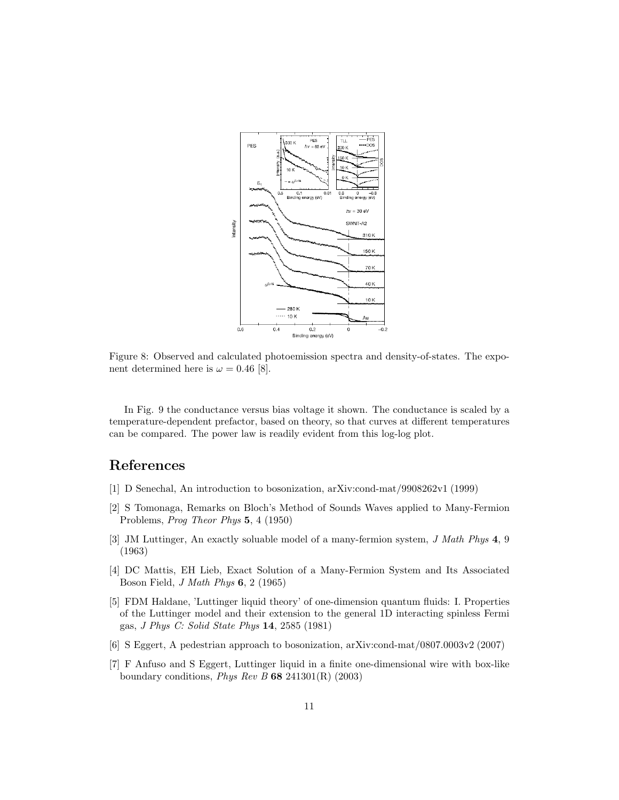

Figure 8: Observed and calculated photoemission spectra and density-of-states. The exponent determined here is  $\omega = 0.46$  [8].

In Fig. 9 the conductance versus bias voltage it shown. The conductance is scaled by a temperature-dependent prefactor, based on theory, so that curves at different temperatures can be compared. The power law is readily evident from this log-log plot.

# References

- [1] D Senechal, An introduction to bosonization, arXiv:cond-mat/9908262v1 (1999)
- [2] S Tomonaga, Remarks on Bloch's Method of Sounds Waves applied to Many-Fermion Problems, Prog Theor Phys 5, 4 (1950)
- [3] JM Luttinger, An exactly soluable model of a many-fermion system, *J Math Phys* 4, 9 (1963)
- [4] DC Mattis, EH Lieb, Exact Solution of a Many-Fermion System and Its Associated Boson Field, J Math Phys 6, 2 (1965)
- [5] FDM Haldane, 'Luttinger liquid theory' of one-dimension quantum fluids: I. Properties of the Luttinger model and their extension to the general 1D interacting spinless Fermi gas, J Phys C: Solid State Phys 14, 2585 (1981)
- [6] S Eggert, A pedestrian approach to bosonization, arXiv:cond-mat/0807.0003v2 (2007)
- [7] F Anfuso and S Eggert, Luttinger liquid in a finite one-dimensional wire with box-like boundary conditions, *Phys Rev B* 68 241301(R)  $(2003)$